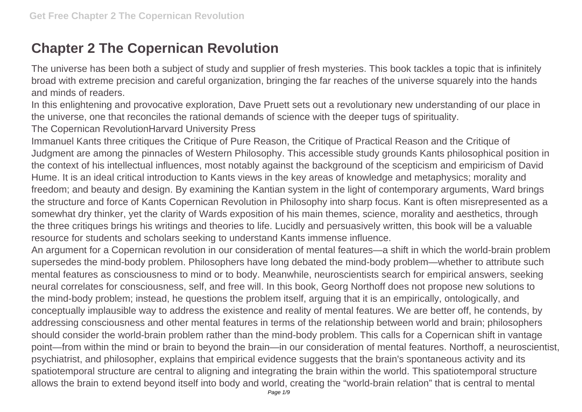## **Chapter 2 The Copernican Revolution**

The universe has been both a subject of study and supplier of fresh mysteries. This book tackles a topic that is infinitely broad with extreme precision and careful organization, bringing the far reaches of the universe squarely into the hands and minds of readers.

In this enlightening and provocative exploration, Dave Pruett sets out a revolutionary new understanding of our place in the universe, one that reconciles the rational demands of science with the deeper tugs of spirituality.

The Copernican RevolutionHarvard University Press

Immanuel Kants three critiques the Critique of Pure Reason, the Critique of Practical Reason and the Critique of Judgment are among the pinnacles of Western Philosophy. This accessible study grounds Kants philosophical position in the context of his intellectual influences, most notably against the background of the scepticism and empiricism of David Hume. It is an ideal critical introduction to Kants views in the key areas of knowledge and metaphysics; morality and freedom; and beauty and design. By examining the Kantian system in the light of contemporary arguments, Ward brings the structure and force of Kants Copernican Revolution in Philosophy into sharp focus. Kant is often misrepresented as a somewhat dry thinker, yet the clarity of Wards exposition of his main themes, science, morality and aesthetics, through the three critiques brings his writings and theories to life. Lucidly and persuasively written, this book will be a valuable resource for students and scholars seeking to understand Kants immense influence.

An argument for a Copernican revolution in our consideration of mental features—a shift in which the world-brain problem supersedes the mind-body problem. Philosophers have long debated the mind-body problem—whether to attribute such mental features as consciousness to mind or to body. Meanwhile, neuroscientists search for empirical answers, seeking neural correlates for consciousness, self, and free will. In this book, Georg Northoff does not propose new solutions to the mind-body problem; instead, he questions the problem itself, arguing that it is an empirically, ontologically, and conceptually implausible way to address the existence and reality of mental features. We are better off, he contends, by addressing consciousness and other mental features in terms of the relationship between world and brain; philosophers should consider the world-brain problem rather than the mind-body problem. This calls for a Copernican shift in vantage point—from within the mind or brain to beyond the brain—in our consideration of mental features. Northoff, a neuroscientist, psychiatrist, and philosopher, explains that empirical evidence suggests that the brain's spontaneous activity and its spatiotemporal structure are central to aligning and integrating the brain within the world. This spatiotemporal structure allows the brain to extend beyond itself into body and world, creating the "world-brain relation" that is central to mental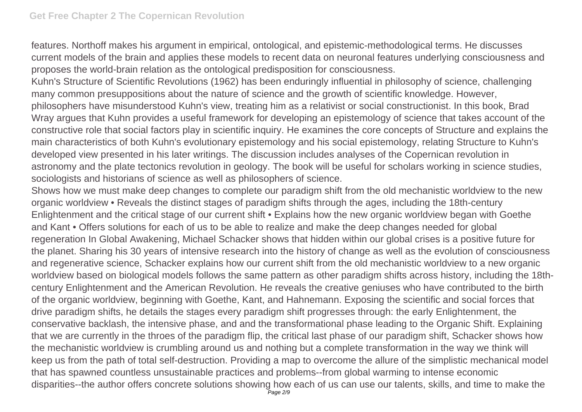features. Northoff makes his argument in empirical, ontological, and epistemic-methodological terms. He discusses current models of the brain and applies these models to recent data on neuronal features underlying consciousness and proposes the world-brain relation as the ontological predisposition for consciousness.

Kuhn's Structure of Scientific Revolutions (1962) has been enduringly influential in philosophy of science, challenging many common presuppositions about the nature of science and the growth of scientific knowledge. However, philosophers have misunderstood Kuhn's view, treating him as a relativist or social constructionist. In this book, Brad Wray argues that Kuhn provides a useful framework for developing an epistemology of science that takes account of the constructive role that social factors play in scientific inquiry. He examines the core concepts of Structure and explains the main characteristics of both Kuhn's evolutionary epistemology and his social epistemology, relating Structure to Kuhn's developed view presented in his later writings. The discussion includes analyses of the Copernican revolution in astronomy and the plate tectonics revolution in geology. The book will be useful for scholars working in science studies, sociologists and historians of science as well as philosophers of science.

Shows how we must make deep changes to complete our paradigm shift from the old mechanistic worldview to the new organic worldview • Reveals the distinct stages of paradigm shifts through the ages, including the 18th-century Enlightenment and the critical stage of our current shift • Explains how the new organic worldview began with Goethe and Kant • Offers solutions for each of us to be able to realize and make the deep changes needed for global regeneration In Global Awakening, Michael Schacker shows that hidden within our global crises is a positive future for the planet. Sharing his 30 years of intensive research into the history of change as well as the evolution of consciousness and regenerative science, Schacker explains how our current shift from the old mechanistic worldview to a new organic worldview based on biological models follows the same pattern as other paradigm shifts across history, including the 18thcentury Enlightenment and the American Revolution. He reveals the creative geniuses who have contributed to the birth of the organic worldview, beginning with Goethe, Kant, and Hahnemann. Exposing the scientific and social forces that drive paradigm shifts, he details the stages every paradigm shift progresses through: the early Enlightenment, the conservative backlash, the intensive phase, and and the transformational phase leading to the Organic Shift. Explaining that we are currently in the throes of the paradigm flip, the critical last phase of our paradigm shift, Schacker shows how the mechanistic worldview is crumbling around us and nothing but a complete transformation in the way we think will keep us from the path of total self-destruction. Providing a map to overcome the allure of the simplistic mechanical model that has spawned countless unsustainable practices and problems--from global warming to intense economic disparities--the author offers concrete solutions showing how each of us can use our talents, skills, and time to make the Page 2/9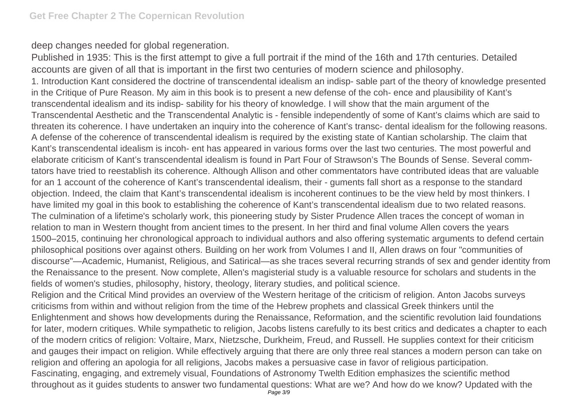deep changes needed for global regeneration.

Published in 1935: This is the first attempt to give a full portrait if the mind of the 16th and 17th centuries. Detailed accounts are given of all that is important in the first two centuries of modern science and philosophy. 1. Introduction Kant considered the doctrine of transcendental idealism an indisp- sable part of the theory of knowledge presented in the Critique of Pure Reason. My aim in this book is to present a new defense of the coh- ence and plausibility of Kant's transcendental idealism and its indisp- sability for his theory of knowledge. I will show that the main argument of the Transcendental Aesthetic and the Transcendental Analytic is - fensible independently of some of Kant's claims which are said to threaten its coherence. I have undertaken an inquiry into the coherence of Kant's transc- dental idealism for the following reasons. A defense of the coherence of transcendental idealism is required by the existing state of Kantian scholarship. The claim that Kant's transcendental idealism is incoh- ent has appeared in various forms over the last two centuries. The most powerful and elaborate criticism of Kant's transcendental idealism is found in Part Four of Strawson's The Bounds of Sense. Several commtators have tried to reestablish its coherence. Although Allison and other commentators have contributed ideas that are valuable for an 1 account of the coherence of Kant's transcendental idealism, their - guments fall short as a response to the standard objection. Indeed, the claim that Kant's transcendental idealism is incoherent continues to be the view held by most thinkers. I have limited my goal in this book to establishing the coherence of Kant's transcendental idealism due to two related reasons. The culmination of a lifetime's scholarly work, this pioneering study by Sister Prudence Allen traces the concept of woman in relation to man in Western thought from ancient times to the present. In her third and final volume Allen covers the years 1500–2015, continuing her chronological approach to individual authors and also offering systematic arguments to defend certain philosophical positions over against others. Building on her work from Volumes I and II, Allen draws on four "communities of discourse"—Academic, Humanist, Religious, and Satirical—as she traces several recurring strands of sex and gender identity from the Renaissance to the present. Now complete, Allen's magisterial study is a valuable resource for scholars and students in the fields of women's studies, philosophy, history, theology, literary studies, and political science. Religion and the Critical Mind provides an overview of the Western heritage of the criticism of religion. Anton Jacobs surveys criticisms from within and without religion from the time of the Hebrew prophets and classical Greek thinkers until the Enlightenment and shows how developments during the Renaissance, Reformation, and the scientific revolution laid foundations for later, modern critiques. While sympathetic to religion, Jacobs listens carefully to its best critics and dedicates a chapter to each of the modern critics of religion: Voltaire, Marx, Nietzsche, Durkheim, Freud, and Russell. He supplies context for their criticism

and gauges their impact on religion. While effectively arguing that there are only three real stances a modern person can take on religion and offering an apologia for all religions, Jacobs makes a persuasive case in favor of religious participation.

Fascinating, engaging, and extremely visual, Foundations of Astronomy Twelth Edition emphasizes the scientific method throughout as it guides students to answer two fundamental questions: What are we? And how do we know? Updated with the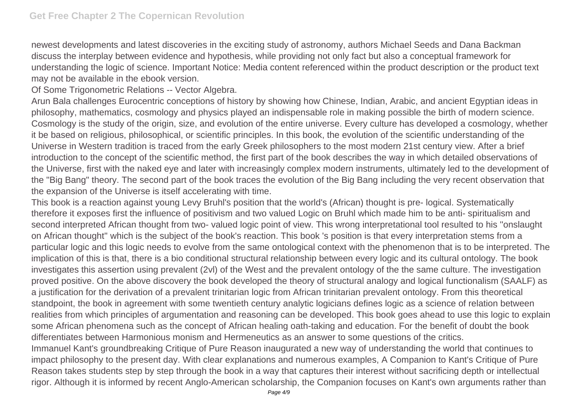newest developments and latest discoveries in the exciting study of astronomy, authors Michael Seeds and Dana Backman discuss the interplay between evidence and hypothesis, while providing not only fact but also a conceptual framework for understanding the logic of science. Important Notice: Media content referenced within the product description or the product text may not be available in the ebook version.

Of Some Trigonometric Relations -- Vector Algebra.

Arun Bala challenges Eurocentric conceptions of history by showing how Chinese, Indian, Arabic, and ancient Egyptian ideas in philosophy, mathematics, cosmology and physics played an indispensable role in making possible the birth of modern science. Cosmology is the study of the origin, size, and evolution of the entire universe. Every culture has developed a cosmology, whether it be based on religious, philosophical, or scientific principles. In this book, the evolution of the scientific understanding of the Universe in Western tradition is traced from the early Greek philosophers to the most modern 21st century view. After a brief introduction to the concept of the scientific method, the first part of the book describes the way in which detailed observations of the Universe, first with the naked eye and later with increasingly complex modern instruments, ultimately led to the development of the "Big Bang" theory. The second part of the book traces the evolution of the Big Bang including the very recent observation that the expansion of the Universe is itself accelerating with time.

This book is a reaction against young Levy Bruhl's position that the world's (African) thought is pre- logical. Systematically therefore it exposes first the influence of positivism and two valued Logic on Bruhl which made him to be anti- spiritualism and second interpreted African thought from two- valued logic point of view. This wrong interpretational tool resulted to his ''onslaught on African thought'' which is the subject of the book's reaction. This book 's position is that every interpretation stems from a particular logic and this logic needs to evolve from the same ontological context with the phenomenon that is to be interpreted. The implication of this is that, there is a bio conditional structural relationship between every logic and its cultural ontology. The book investigates this assertion using prevalent (2vl) of the West and the prevalent ontology of the the same culture. The investigation proved positive. On the above discovery the book developed the theory of structural analogy and logical functionalism (SAALF) as a justification for the derivation of a prevalent trinitarian logic from African trinitarian prevalent ontology. From this theoretical standpoint, the book in agreement with some twentieth century analytic logicians defines logic as a science of relation between realities from which principles of argumentation and reasoning can be developed. This book goes ahead to use this logic to explain some African phenomena such as the concept of African healing oath-taking and education. For the benefit of doubt the book differentiates between Harmonious monism and Hermeneutics as an answer to some questions of the critics. Immanuel Kant's groundbreaking Critique of Pure Reason inaugurated a new way of understanding the world that continues to impact philosophy to the present day. With clear explanations and numerous examples, A Companion to Kant's Critique of Pure Reason takes students step by step through the book in a way that captures their interest without sacrificing depth or intellectual

rigor. Although it is informed by recent Anglo-American scholarship, the Companion focuses on Kant's own arguments rather than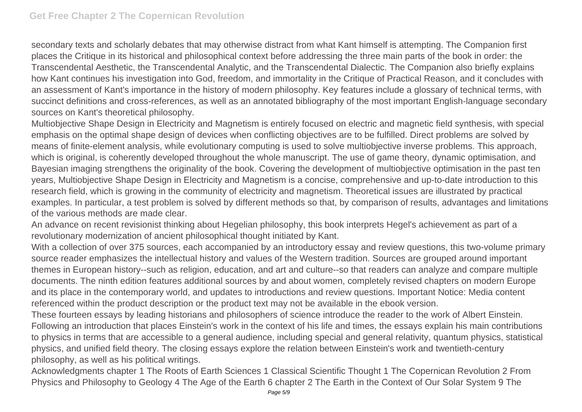secondary texts and scholarly debates that may otherwise distract from what Kant himself is attempting. The Companion first places the Critique in its historical and philosophical context before addressing the three main parts of the book in order: the Transcendental Aesthetic, the Transcendental Analytic, and the Transcendental Dialectic. The Companion also briefly explains how Kant continues his investigation into God, freedom, and immortality in the Critique of Practical Reason, and it concludes with an assessment of Kant's importance in the history of modern philosophy. Key features include a glossary of technical terms, with succinct definitions and cross-references, as well as an annotated bibliography of the most important English-language secondary sources on Kant's theoretical philosophy.

Multiobjective Shape Design in Electricity and Magnetism is entirely focused on electric and magnetic field synthesis, with special emphasis on the optimal shape design of devices when conflicting objectives are to be fulfilled. Direct problems are solved by means of finite-element analysis, while evolutionary computing is used to solve multiobjective inverse problems. This approach, which is original, is coherently developed throughout the whole manuscript. The use of game theory, dynamic optimisation, and Bayesian imaging strengthens the originality of the book. Covering the development of multiobjective optimisation in the past ten years, Multiobjective Shape Design in Electricity and Magnetism is a concise, comprehensive and up-to-date introduction to this research field, which is growing in the community of electricity and magnetism. Theoretical issues are illustrated by practical examples. In particular, a test problem is solved by different methods so that, by comparison of results, advantages and limitations of the various methods are made clear.

An advance on recent revisionist thinking about Hegelian philosophy, this book interprets Hegel's achievement as part of a revolutionary modernization of ancient philosophical thought initiated by Kant.

With a collection of over 375 sources, each accompanied by an introductory essay and review questions, this two-volume primary source reader emphasizes the intellectual history and values of the Western tradition. Sources are grouped around important themes in European history--such as religion, education, and art and culture--so that readers can analyze and compare multiple documents. The ninth edition features additional sources by and about women, completely revised chapters on modern Europe and its place in the contemporary world, and updates to introductions and review questions. Important Notice: Media content referenced within the product description or the product text may not be available in the ebook version.

These fourteen essays by leading historians and philosophers of science introduce the reader to the work of Albert Einstein. Following an introduction that places Einstein's work in the context of his life and times, the essays explain his main contributions to physics in terms that are accessible to a general audience, including special and general relativity, quantum physics, statistical physics, and unified field theory. The closing essays explore the relation between Einstein's work and twentieth-century philosophy, as well as his political writings.

Acknowledgments chapter 1 The Roots of Earth Sciences 1 Classical Scientific Thought 1 The Copernican Revolution 2 From Physics and Philosophy to Geology 4 The Age of the Earth 6 chapter 2 The Earth in the Context of Our Solar System 9 The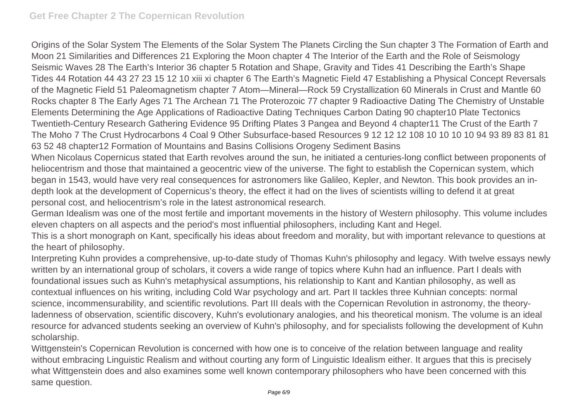Origins of the Solar System The Elements of the Solar System The Planets Circling the Sun chapter 3 The Formation of Earth and Moon 21 Similarities and Differences 21 Exploring the Moon chapter 4 The Interior of the Earth and the Role of Seismology Seismic Waves 28 The Earth's Interior 36 chapter 5 Rotation and Shape, Gravity and Tides 41 Describing the Earth's Shape Tides 44 Rotation 44 43 27 23 15 12 10 xiii xi chapter 6 The Earth's Magnetic Field 47 Establishing a Physical Concept Reversals of the Magnetic Field 51 Paleomagnetism chapter 7 Atom—Mineral—Rock 59 Crystallization 60 Minerals in Crust and Mantle 60 Rocks chapter 8 The Early Ages 71 The Archean 71 The Proterozoic 77 chapter 9 Radioactive Dating The Chemistry of Unstable Elements Determining the Age Applications of Radioactive Dating Techniques Carbon Dating 90 chapter10 Plate Tectonics Twentieth-Century Research Gathering Evidence 95 Drifting Plates 3 Pangea and Beyond 4 chapter11 The Crust of the Earth 7 The Moho 7 The Crust Hydrocarbons 4 Coal 9 Other Subsurface-based Resources 9 12 12 12 108 10 10 10 10 94 93 89 83 81 81 63 52 48 chapter12 Formation of Mountains and Basins Collisions Orogeny Sediment Basins

When Nicolaus Copernicus stated that Earth revolves around the sun, he initiated a centuries-long conflict between proponents of heliocentrism and those that maintained a geocentric view of the universe. The fight to establish the Copernican system, which began in 1543, would have very real consequences for astronomers like Galileo, Kepler, and Newton. This book provides an indepth look at the development of Copernicus's theory, the effect it had on the lives of scientists willing to defend it at great personal cost, and heliocentrism's role in the latest astronomical research.

German Idealism was one of the most fertile and important movements in the history of Western philosophy. This volume includes eleven chapters on all aspects and the period's most influential philosophers, including Kant and Hegel.

This is a short monograph on Kant, specifically his ideas about freedom and morality, but with important relevance to questions at the heart of philosophy.

Interpreting Kuhn provides a comprehensive, up-to-date study of Thomas Kuhn's philosophy and legacy. With twelve essays newly written by an international group of scholars, it covers a wide range of topics where Kuhn had an influence. Part I deals with foundational issues such as Kuhn's metaphysical assumptions, his relationship to Kant and Kantian philosophy, as well as contextual influences on his writing, including Cold War psychology and art. Part II tackles three Kuhnian concepts: normal science, incommensurability, and scientific revolutions. Part III deals with the Copernican Revolution in astronomy, the theoryladenness of observation, scientific discovery, Kuhn's evolutionary analogies, and his theoretical monism. The volume is an ideal resource for advanced students seeking an overview of Kuhn's philosophy, and for specialists following the development of Kuhn scholarship.

Wittgenstein's Copernican Revolution is concerned with how one is to conceive of the relation between language and reality without embracing Linguistic Realism and without courting any form of Linguistic Idealism either. It argues that this is precisely what Wittgenstein does and also examines some well known contemporary philosophers who have been concerned with this same question.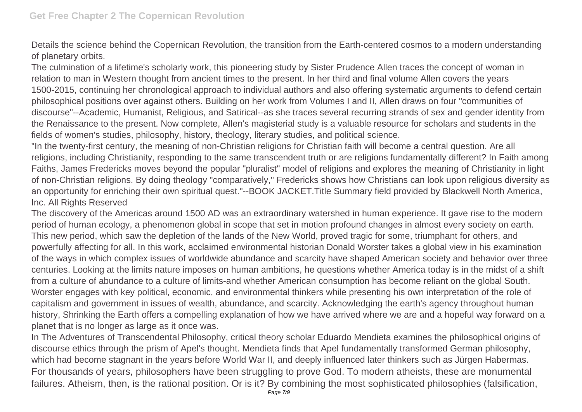Details the science behind the Copernican Revolution, the transition from the Earth-centered cosmos to a modern understanding of planetary orbits.

The culmination of a lifetime's scholarly work, this pioneering study by Sister Prudence Allen traces the concept of woman in relation to man in Western thought from ancient times to the present. In her third and final volume Allen covers the years 1500-2015, continuing her chronological approach to individual authors and also offering systematic arguments to defend certain philosophical positions over against others. Building on her work from Volumes I and II, Allen draws on four "communities of discourse"--Academic, Humanist, Religious, and Satirical--as she traces several recurring strands of sex and gender identity from the Renaissance to the present. Now complete, Allen's magisterial study is a valuable resource for scholars and students in the fields of women's studies, philosophy, history, theology, literary studies, and political science.

"In the twenty-first century, the meaning of non-Christian religions for Christian faith will become a central question. Are all religions, including Christianity, responding to the same transcendent truth or are religions fundamentally different? In Faith among Faiths, James Fredericks moves beyond the popular "pluralist" model of religions and explores the meaning of Christianity in light of non-Christian religions. By doing theology "comparatively," Fredericks shows how Christians can look upon religious diversity as an opportunity for enriching their own spiritual quest."--BOOK JACKET.Title Summary field provided by Blackwell North America, Inc. All Rights Reserved

The discovery of the Americas around 1500 AD was an extraordinary watershed in human experience. It gave rise to the modern period of human ecology, a phenomenon global in scope that set in motion profound changes in almost every society on earth. This new period, which saw the depletion of the lands of the New World, proved tragic for some, triumphant for others, and powerfully affecting for all. In this work, acclaimed environmental historian Donald Worster takes a global view in his examination of the ways in which complex issues of worldwide abundance and scarcity have shaped American society and behavior over three centuries. Looking at the limits nature imposes on human ambitions, he questions whether America today is in the midst of a shift from a culture of abundance to a culture of limits-and whether American consumption has become reliant on the global South. Worster engages with key political, economic, and environmental thinkers while presenting his own interpretation of the role of capitalism and government in issues of wealth, abundance, and scarcity. Acknowledging the earth's agency throughout human history, Shrinking the Earth offers a compelling explanation of how we have arrived where we are and a hopeful way forward on a planet that is no longer as large as it once was.

In The Adventures of Transcendental Philosophy, critical theory scholar Eduardo Mendieta examines the philosophical origins of discourse ethics through the prism of Apel's thought. Mendieta finds that Apel fundamentally transformed German philosophy, which had become stagnant in the years before World War II, and deeply influenced later thinkers such as Jürgen Habermas. For thousands of years, philosophers have been struggling to prove God. To modern atheists, these are monumental failures. Atheism, then, is the rational position. Or is it? By combining the most sophisticated philosophies (falsification,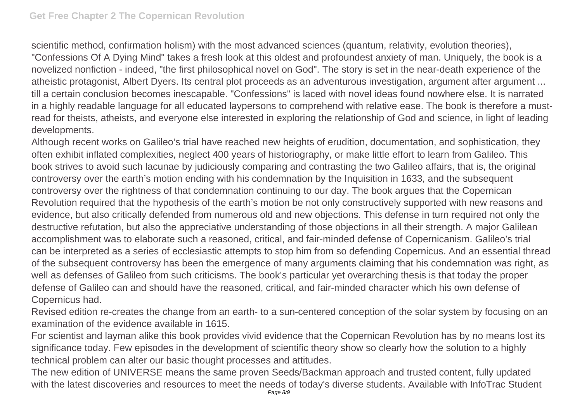scientific method, confirmation holism) with the most advanced sciences (quantum, relativity, evolution theories), "Confessions Of A Dying Mind" takes a fresh look at this oldest and profoundest anxiety of man. Uniquely, the book is a novelized nonfiction - indeed, "the first philosophical novel on God". The story is set in the near-death experience of the atheistic protagonist, Albert Dyers. Its central plot proceeds as an adventurous investigation, argument after argument ... till a certain conclusion becomes inescapable. "Confessions" is laced with novel ideas found nowhere else. It is narrated in a highly readable language for all educated laypersons to comprehend with relative ease. The book is therefore a mustread for theists, atheists, and everyone else interested in exploring the relationship of God and science, in light of leading developments.

Although recent works on Galileo's trial have reached new heights of erudition, documentation, and sophistication, they often exhibit inflated complexities, neglect 400 years of historiography, or make little effort to learn from Galileo. This book strives to avoid such lacunae by judiciously comparing and contrasting the two Galileo affairs, that is, the original controversy over the earth's motion ending with his condemnation by the Inquisition in 1633, and the subsequent controversy over the rightness of that condemnation continuing to our day. The book argues that the Copernican Revolution required that the hypothesis of the earth's motion be not only constructively supported with new reasons and evidence, but also critically defended from numerous old and new objections. This defense in turn required not only the destructive refutation, but also the appreciative understanding of those objections in all their strength. A major Galilean accomplishment was to elaborate such a reasoned, critical, and fair-minded defense of Copernicanism. Galileo's trial can be interpreted as a series of ecclesiastic attempts to stop him from so defending Copernicus. And an essential thread of the subsequent controversy has been the emergence of many arguments claiming that his condemnation was right, as well as defenses of Galileo from such criticisms. The book's particular yet overarching thesis is that today the proper defense of Galileo can and should have the reasoned, critical, and fair-minded character which his own defense of Copernicus had.

Revised edition re-creates the change from an earth- to a sun-centered conception of the solar system by focusing on an examination of the evidence available in 1615.

For scientist and layman alike this book provides vivid evidence that the Copernican Revolution has by no means lost its significance today. Few episodes in the development of scientific theory show so clearly how the solution to a highly technical problem can alter our basic thought processes and attitudes.

The new edition of UNIVERSE means the same proven Seeds/Backman approach and trusted content, fully updated with the latest discoveries and resources to meet the needs of today's diverse students. Available with InfoTrac Student Page 8/9